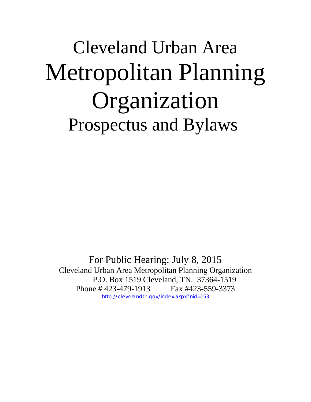## Cleveland Urban Area Metropolitan Planning Organization Prospectus and Bylaws

For Public Hearing: July 8, 2015 Cleveland Urban Area Metropolitan Planning Organization P.O. Box 1519 Cleveland, TN. 37364-1519 Phone # 423-479-1913 Fax #423-559-3373 http://clevelandtn.gov/index.aspx?nid=153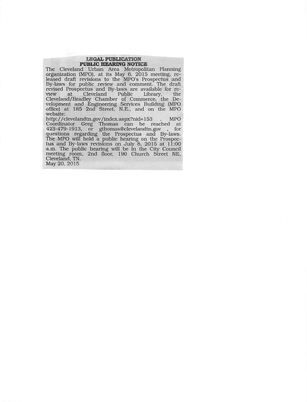#### **LEGAL PUBLICATION PUBLIC HEARING NOTICE**

The Cleveland Urban Area Metropolitan Planning organization (MPO), at its May 6, 2015 meeting, re-<br>leased draft revisions to the MPO's Prospectus and By-laws for public review and comment. The draft By-laws for public review and comment. The draft<br>revised Prospectus and By-laws are available for re-<br>view at Cleveland Public Library, the<br>Cleveland/Bradley Chamber of Commerce, the De-<br>velopment and Engineering Services website:

http://clevelandtn.gov/index.aspx?nid=153 **MPO** Coordinator Greg Thomas can be reached at<br>423-479-1913, or gthomas@clevelandtn.gov , for<br>questions regarding the Prospectus and By-laws.<br>The MPO will hold a public hearing on the Prospectus and By-laws revisions on July 8, 2015 at 11:00<br>a.m. The public hearing will be in the City Council meeting room, 2nd floor, 190 Church Street NE, Cleveland, TN. May 20, 2015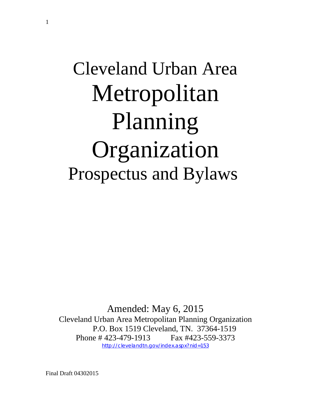# Cleveland Urban Area Metropolitan Planning Organization Prospectus and Bylaws

Amended: May 6, 2015 Cleveland Urban Area Metropolitan Planning Organization P.O. Box 1519 Cleveland, TN. 37364-1519 Phone # 423-479-1913 Fax #423-559-3373 http://clevelandtn.gov/index.aspx?nid=153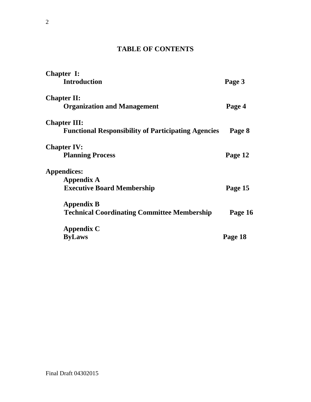#### **TABLE OF CONTENTS**

| <b>Chapter I:</b>                                          |         |
|------------------------------------------------------------|---------|
| <b>Introduction</b>                                        | Page 3  |
| <b>Chapter II:</b>                                         |         |
| <b>Organization and Management</b>                         | Page 4  |
| <b>Chapter III:</b>                                        |         |
| <b>Functional Responsibility of Participating Agencies</b> | Page 8  |
| <b>Chapter IV:</b>                                         |         |
| <b>Planning Process</b>                                    | Page 12 |
| Appendices:                                                |         |
| <b>Appendix A</b>                                          |         |
| <b>Executive Board Membership</b>                          | Page 15 |
| <b>Appendix B</b>                                          |         |
| <b>Technical Coordinating Committee Membership</b>         | Page 16 |
| <b>Appendix C</b>                                          |         |
| <b>ByLaws</b>                                              | Page 18 |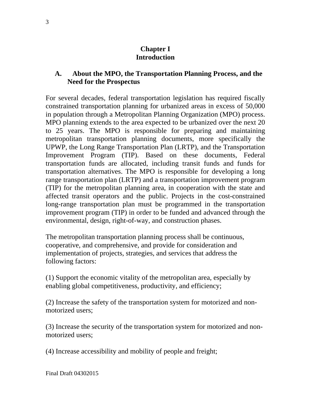#### **Chapter I Introduction**

#### **A. About the MPO, the Transportation Planning Process, and the Need for the Prospectus**

For several decades, federal transportation legislation has required fiscally constrained transportation planning for urbanized areas in excess of 50,000 in population through a Metropolitan Planning Organization (MPO) process. MPO planning extends to the area expected to be urbanized over the next 20 to 25 years. The MPO is responsible for preparing and maintaining metropolitan transportation planning documents, more specifically the UPWP, the Long Range Transportation Plan (LRTP), and the Transportation Improvement Program (TIP). Based on these documents, Federal transportation funds are allocated, including transit funds and funds for transportation alternatives. The MPO is responsible for developing a long range transportation plan (LRTP) and a transportation improvement program (TIP) for the metropolitan planning area, in cooperation with the state and affected transit operators and the public. Projects in the cost-constrained long-range transportation plan must be programmed in the transportation improvement program (TIP) in order to be funded and advanced through the environmental, design, right-of-way, and construction phases.

The metropolitan transportation planning process shall be continuous, cooperative, and comprehensive, and provide for consideration and implementation of projects, strategies, and services that address the following factors:

(1) Support the economic vitality of the metropolitan area, especially by enabling global competitiveness, productivity, and efficiency;

(2) Increase the safety of the transportation system for motorized and nonmotorized users;

(3) Increase the security of the transportation system for motorized and nonmotorized users;

(4) Increase accessibility and mobility of people and freight;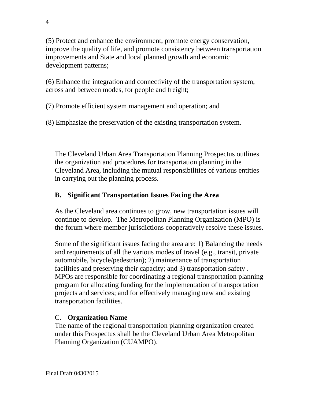(5) Protect and enhance the environment, promote energy conservation, improve the quality of life, and promote consistency between transportation improvements and State and local planned growth and economic development patterns;

(6) Enhance the integration and connectivity of the transportation system, across and between modes, for people and freight;

(7) Promote efficient system management and operation; and

(8) Emphasize the preservation of the existing transportation system.

The Cleveland Urban Area Transportation Planning Prospectus outlines the organization and procedures for transportation planning in the Cleveland Area, including the mutual responsibilities of various entities in carrying out the planning process.

#### **B. Significant Transportation Issues Facing the Area**

As the Cleveland area continues to grow, new transportation issues will continue to develop. The Metropolitan Planning Organization (MPO) is the forum where member jurisdictions cooperatively resolve these issues.

Some of the significant issues facing the area are: 1) Balancing the needs and requirements of all the various modes of travel (e.g., transit, private automobile, bicycle/pedestrian); 2) maintenance of transportation facilities and preserving their capacity; and 3) transportation safety . MPOs are responsible for coordinating a regional transportation planning program for allocating funding for the implementation of transportation projects and services; and for effectively managing new and existing transportation facilities.

#### C. **Organization Name**

The name of the regional transportation planning organization created under this Prospectus shall be the Cleveland Urban Area Metropolitan Planning Organization (CUAMPO).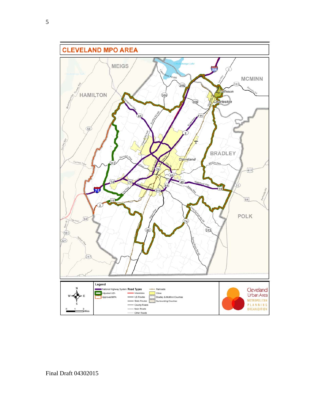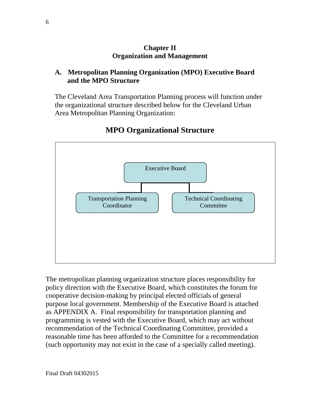#### **Chapter II Organization and Management**

#### **A. Metropolitan Planning Organization (MPO) Executive Board and the MPO Structure**

The Cleveland Area Transportation Planning process will function under the organizational structure described below for the Cleveland Urban Area Metropolitan Planning Organization:



#### **MPO Organizational Structure**

The metropolitan planning organization structure places responsibility for policy direction with the Executive Board, which constitutes the forum for cooperative decision-making by principal elected officials of general purpose local government. Membership of the Executive Board is attached as APPENDIX A. Final responsibility for transportation planning and programming is vested with the Executive Board, which may act without recommendation of the Technical Coordinating Committee, provided a reasonable time has been afforded to the Committee for a recommendation (such opportunity may not exist in the case of a specially called meeting).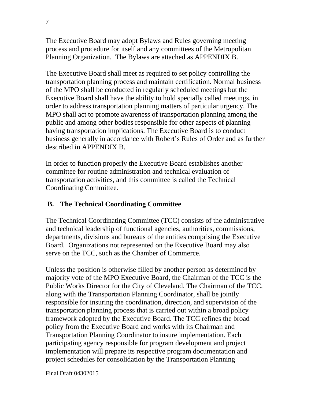The Executive Board may adopt Bylaws and Rules governing meeting process and procedure for itself and any committees of the Metropolitan Planning Organization. The Bylaws are attached as APPENDIX B.

The Executive Board shall meet as required to set policy controlling the transportation planning process and maintain certification. Normal business of the MPO shall be conducted in regularly scheduled meetings but the Executive Board shall have the ability to hold specially called meetings, in order to address transportation planning matters of particular urgency. The MPO shall act to promote awareness of transportation planning among the public and among other bodies responsible for other aspects of planning having transportation implications. The Executive Board is to conduct business generally in accordance with Robert's Rules of Order and as further described in APPENDIX B.

In order to function properly the Executive Board establishes another committee for routine administration and technical evaluation of transportation activities, and this committee is called the Technical Coordinating Committee.

#### **B. The Technical Coordinating Committee**

The Technical Coordinating Committee (TCC) consists of the administrative and technical leadership of functional agencies, authorities, commissions, departments, divisions and bureaus of the entities comprising the Executive Board. Organizations not represented on the Executive Board may also serve on the TCC, such as the Chamber of Commerce.

Unless the position is otherwise filled by another person as determined by majority vote of the MPO Executive Board, the Chairman of the TCC is the Public Works Director for the City of Cleveland. The Chairman of the TCC, along with the Transportation Planning Coordinator, shall be jointly responsible for insuring the coordination, direction, and supervision of the transportation planning process that is carried out within a broad policy framework adopted by the Executive Board. The TCC refines the broad policy from the Executive Board and works with its Chairman and Transportation Planning Coordinator to insure implementation. Each participating agency responsible for program development and project implementation will prepare its respective program documentation and project schedules for consolidation by the Transportation Planning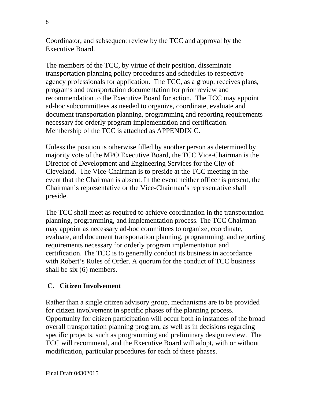Coordinator, and subsequent review by the TCC and approval by the Executive Board.

The members of the TCC, by virtue of their position, disseminate transportation planning policy procedures and schedules to respective agency professionals for application. The TCC, as a group, receives plans, programs and transportation documentation for prior review and recommendation to the Executive Board for action. The TCC may appoint ad-hoc subcommittees as needed to organize, coordinate, evaluate and document transportation planning, programming and reporting requirements necessary for orderly program implementation and certification. Membership of the TCC is attached as APPENDIX C.

Unless the position is otherwise filled by another person as determined by majority vote of the MPO Executive Board, the TCC Vice-Chairman is the Director of Development and Engineering Services for the City of Cleveland. The Vice-Chairman is to preside at the TCC meeting in the event that the Chairman is absent. In the event neither officer is present, the Chairman's representative or the Vice-Chairman's representative shall preside.

The TCC shall meet as required to achieve coordination in the transportation planning, programming, and implementation process. The TCC Chairman may appoint as necessary ad-hoc committees to organize, coordinate, evaluate, and document transportation planning, programming, and reporting requirements necessary for orderly program implementation and certification. The TCC is to generally conduct its business in accordance with Robert's Rules of Order. A quorum for the conduct of TCC business shall be six (6) members.

#### **C. Citizen Involvement**

Rather than a single citizen advisory group, mechanisms are to be provided for citizen involvement in specific phases of the planning process. Opportunity for citizen participation will occur both in instances of the broad overall transportation planning program, as well as in decisions regarding specific projects, such as programming and preliminary design review. The TCC will recommend, and the Executive Board will adopt, with or without modification, particular procedures for each of these phases.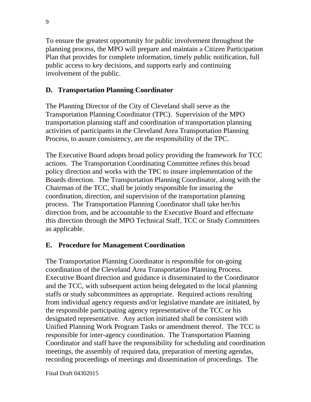To ensure the greatest opportunity for public involvement throughout the planning process, the MPO will prepare and maintain a Citizen Participation Plan that provides for complete information, timely public notification, full public access to key decisions, and supports early and continuing involvement of the public.

#### **D. Transportation Planning Coordinator**

The Planning Director of the City of Cleveland shall serve as the Transportation Planning Coordinator (TPC). Supervision of the MPO transportation planning staff and coordination of transportation planning activities of participants in the Cleveland Area Transportation Planning Process, to assure consistency, are the responsibility of the TPC.

The Executive Board adopts broad policy providing the framework for TCC actions. The Transportation Coordinating Committee refines this broad policy direction and works with the TPC to insure implementation of the Boards direction. The Transportation Planning Coordinator, along with the Chairman of the TCC, shall be jointly responsible for insuring the coordination, direction, and supervision of the transportation planning process. The Transportation Planning Coordinator shall take her/his direction from, and be accountable to the Executive Board and effectuate this direction through the MPO Technical Staff, TCC or Study Committees as applicable.

#### **E. Procedure for Management Coordination**

The Transportation Planning Coordinator is responsible for on-going coordination of the Cleveland Area Transportation Planning Process. Executive Board direction and guidance is disseminated to the Coordinator and the TCC, with subsequent action being delegated to the local planning staffs or study subcommittees as appropriate. Required actions resulting from individual agency requests and/or legislative mandate are initiated, by the responsible participating agency representative of the TCC or his designated representative. Any action initiated shall be consistent with Unified Planning Work Program Tasks or amendment thereof. The TCC is responsible for inter-agency coordination. The Transportation Planning Coordinator and staff have the responsibility for scheduling and coordination meetings, the assembly of required data, preparation of meeting agendas, recording proceedings of meetings and dissemination of proceedings. The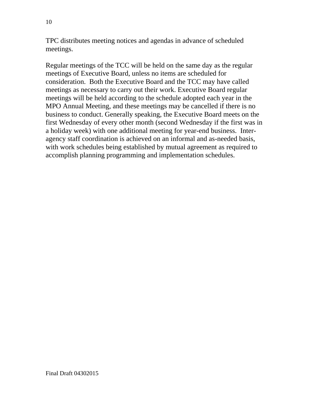TPC distributes meeting notices and agendas in advance of scheduled meetings.

Regular meetings of the TCC will be held on the same day as the regular meetings of Executive Board, unless no items are scheduled for consideration. Both the Executive Board and the TCC may have called meetings as necessary to carry out their work. Executive Board regular meetings will be held according to the schedule adopted each year in the MPO Annual Meeting, and these meetings may be cancelled if there is no business to conduct. Generally speaking, the Executive Board meets on the first Wednesday of every other month (second Wednesday if the first was in a holiday week) with one additional meeting for year-end business. Interagency staff coordination is achieved on an informal and as-needed basis, with work schedules being established by mutual agreement as required to accomplish planning programming and implementation schedules.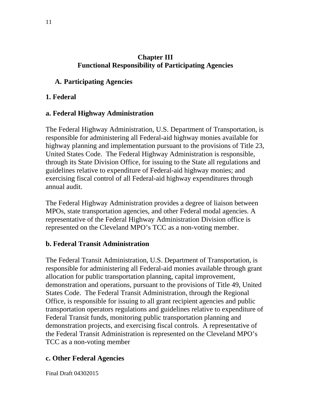#### **Chapter III Functional Responsibility of Participating Agencies**

#### **A. Participating Agencies**

#### **1. Federal**

#### **a. Federal Highway Administration**

The Federal Highway Administration, U.S. Department of Transportation, is responsible for administering all Federal-aid highway monies available for highway planning and implementation pursuant to the provisions of Title 23, United States Code. The Federal Highway Administration is responsible, through its State Division Office, for issuing to the State all regulations and guidelines relative to expenditure of Federal-aid highway monies; and exercising fiscal control of all Federal-aid highway expenditures through annual audit.

The Federal Highway Administration provides a degree of liaison between MPOs, state transportation agencies, and other Federal modal agencies. A representative of the Federal Highway Administration Division office is represented on the Cleveland MPO's TCC as a non-voting member.

#### **b. Federal Transit Administration**

The Federal Transit Administration, U.S. Department of Transportation, is responsible for administering all Federal-aid monies available through grant allocation for public transportation planning, capital improvement, demonstration and operations, pursuant to the provisions of Title 49, United States Code. The Federal Transit Administration, through the Regional Office, is responsible for issuing to all grant recipient agencies and public transportation operators regulations and guidelines relative to expenditure of Federal Transit funds, monitoring public transportation planning and demonstration projects, and exercising fiscal controls. A representative of the Federal Transit Administration is represented on the Cleveland MPO's TCC as a non-voting member

#### **c. Other Federal Agencies**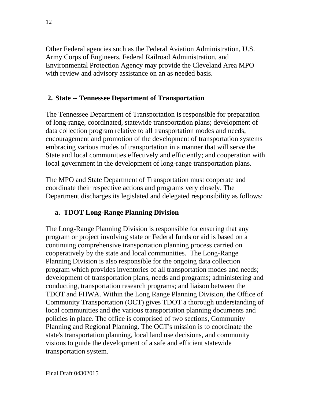Other Federal agencies such as the Federal Aviation Administration, U.S. Army Corps of Engineers, Federal Railroad Administration, and Environmental Protection Agency may provide the Cleveland Area MPO with review and advisory assistance on an as needed basis.

#### **2. State -- Tennessee Department of Transportation**

The Tennessee Department of Transportation is responsible for preparation of long-range, coordinated, statewide transportation plans; development of data collection program relative to all transportation modes and needs; encouragement and promotion of the development of transportation systems embracing various modes of transportation in a manner that will serve the State and local communities effectively and efficiently; and cooperation with local government in the development of long-range transportation plans.

The MPO and State Department of Transportation must cooperate and coordinate their respective actions and programs very closely. The Department discharges its legislated and delegated responsibility as follows:

#### **a. TDOT Long-Range Planning Division**

The Long-Range Planning Division is responsible for ensuring that any program or project involving state or Federal funds or aid is based on a continuing comprehensive transportation planning process carried on cooperatively by the state and local communities. The Long-Range Planning Division is also responsible for the ongoing data collection program which provides inventories of all transportation modes and needs; development of transportation plans, needs and programs; administering and conducting, transportation research programs; and liaison between the TDOT and FHWA. Within the Long Range Planning Division, the Office of Community Transportation (OCT) gives TDOT a thorough understanding of local communities and the various transportation planning documents and policies in place. The office is comprised of two sections, Community Planning and Regional Planning. The OCT's mission is to coordinate the state's transportation planning, local land use decisions, and community visions to guide the development of a safe and efficient statewide transportation system.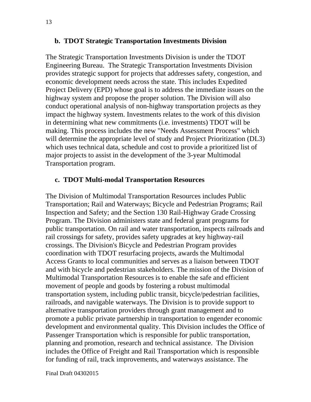#### **b. TDOT Strategic Transportation Investments Division**

The Strategic Transportation Investments Division is under the TDOT Engineering Bureau. The Strategic Transportation Investments Division provides strategic support for projects that addresses safety, congestion, and economic development needs across the state. This includes Expedited Project Delivery (EPD) whose goal is to address the immediate issues on the highway system and propose the proper solution. The Division will also conduct operational analysis of non-highway transportation projects as they impact the highway system. Investments relates to the work of this division in determining what new commitments (i.e. investments) TDOT will be making. This process includes the new "Needs Assessment Process" which will determine the appropriate level of study and Project Prioritization (DL3) which uses technical data, schedule and cost to provide a prioritized list of major projects to assist in the development of the 3-year Multimodal Transportation program.

#### **c. TDOT Multi-modal Transportation Resources**

The Division of Multimodal Transportation Resources includes Public Transportation; Rail and Waterways; Bicycle and Pedestrian Programs; Rail Inspection and Safety; and the Section 130 Rail-Highway Grade Crossing Program. The Division administers state and federal grant programs for public transportation. On rail and water transportation, inspects railroads and rail crossings for safety, provides safety upgrades at key highway-rail crossings. The Division's Bicycle and Pedestrian Program provides coordination with TDOT resurfacing projects, awards the Multimodal Access Grants to local communities and serves as a liaison between TDOT and with bicycle and pedestrian stakeholders. The mission of the Division of Multimodal Transportation Resources is to enable the safe and efficient movement of people and goods by fostering a robust multimodal transportation system, including public transit, bicycle/pedestrian facilities, railroads, and navigable waterways. The Division is to provide support to alternative transportation providers through grant management and to promote a public private partnership in transportation to engender economic development and environmental quality. This Division includes the Office of Passenger Transportation which is responsible for public transportation, planning and promotion, research and technical assistance. The Division includes the Office of Freight and Rail Transportation which is responsible for funding of rail, track improvements, and waterways assistance. The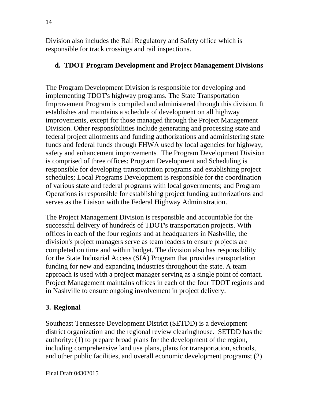Division also includes the Rail Regulatory and Safety office which is responsible for track crossings and rail inspections.

#### **d. TDOT Program Development and Project Management Divisions**

The Program Development Division is responsible for developing and implementing TDOT's highway programs. The State Transportation Improvement Program is compiled and administered through this division. It establishes and maintains a schedule of development on all highway improvements, except for those managed through the Project Management Division. Other responsibilities include generating and processing state and federal project allotments and funding authorizations and administering state funds and federal funds through FHWA used by local agencies for highway, safety and enhancement improvements. The Program Development Division is comprised of three offices: Program Development and Scheduling is responsible for developing transportation programs and establishing project schedules; Local Programs Development is responsible for the coordination of various state and federal programs with local governments; and Program Operations is responsible for establishing project funding authorizations and serves as the Liaison with the Federal Highway Administration.

The Project Management Division is responsible and accountable for the successful delivery of hundreds of TDOT's transportation projects. With offices in each of the four regions and at headquarters in Nashville, the division's project managers serve as team leaders to ensure projects are completed on time and within budget. The division also has responsibility for the State Industrial Access (SIA) Program that provides transportation funding for new and expanding industries throughout the state. A team approach is used with a project manager serving as a single point of contact. Project Management maintains offices in each of the four TDOT regions and in Nashville to ensure ongoing involvement in project delivery.

#### **3. Regional**

Southeast Tennessee Development District (SETDD) is a development district organization and the regional review clearinghouse. SETDD has the authority: (1) to prepare broad plans for the development of the region, including comprehensive land use plans, plans for transportation, schools, and other public facilities, and overall economic development programs; (2)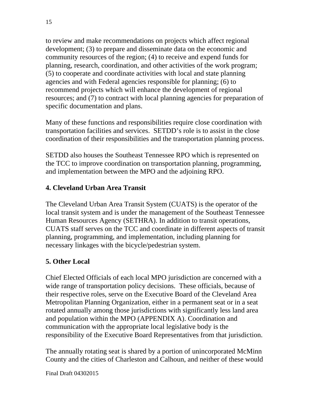to review and make recommendations on projects which affect regional development; (3) to prepare and disseminate data on the economic and community resources of the region; (4) to receive and expend funds for planning, research, coordination, and other activities of the work program; (5) to cooperate and coordinate activities with local and state planning agencies and with Federal agencies responsible for planning; (6) to recommend projects which will enhance the development of regional resources; and (7) to contract with local planning agencies for preparation of specific documentation and plans.

Many of these functions and responsibilities require close coordination with transportation facilities and services. SETDD's role is to assist in the close coordination of their responsibilities and the transportation planning process.

SETDD also houses the Southeast Tennessee RPO which is represented on the TCC to improve coordination on transportation planning, programming, and implementation between the MPO and the adjoining RPO.

#### **4. Cleveland Urban Area Transit**

The Cleveland Urban Area Transit System (CUATS) is the operator of the local transit system and is under the management of the Southeast Tennessee Human Resources Agency (SETHRA). In addition to transit operations, CUATS staff serves on the TCC and coordinate in different aspects of transit planning, programming, and implementation, including planning for necessary linkages with the bicycle/pedestrian system.

#### **5. Other Local**

Chief Elected Officials of each local MPO jurisdiction are concerned with a wide range of transportation policy decisions. These officials, because of their respective roles, serve on the Executive Board of the Cleveland Area Metropolitan Planning Organization, either in a permanent seat or in a seat rotated annually among those jurisdictions with significantly less land area and population within the MPO (APPENDIX A). Coordination and communication with the appropriate local legislative body is the responsibility of the Executive Board Representatives from that jurisdiction.

The annually rotating seat is shared by a portion of unincorporated McMinn County and the cities of Charleston and Calhoun, and neither of these would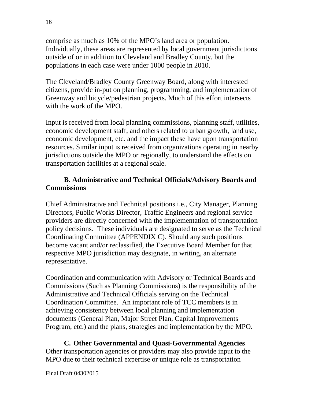comprise as much as 10% of the MPO's land area or population. Individually, these areas are represented by local government jurisdictions outside of or in addition to Cleveland and Bradley County, but the populations in each case were under 1000 people in 2010.

The Cleveland/Bradley County Greenway Board, along with interested citizens, provide in-put on planning, programming, and implementation of Greenway and bicycle/pedestrian projects. Much of this effort intersects with the work of the MPO.

Input is received from local planning commissions, planning staff, utilities, economic development staff, and others related to urban growth, land use, economic development, etc. and the impact these have upon transportation resources. Similar input is received from organizations operating in nearby jurisdictions outside the MPO or regionally, to understand the effects on transportation facilities at a regional scale.

#### **B. Administrative and Technical Officials/Advisory Boards and Commissions**

Chief Administrative and Technical positions i.e., City Manager, Planning Directors, Public Works Director, Traffic Engineers and regional service providers are directly concerned with the implementation of transportation policy decisions. These individuals are designated to serve as the Technical Coordinating Committee (APPENDIX C). Should any such positions become vacant and/or reclassified, the Executive Board Member for that respective MPO jurisdiction may designate, in writing, an alternate representative.

Coordination and communication with Advisory or Technical Boards and Commissions (Such as Planning Commissions) is the responsibility of the Administrative and Technical Officials serving on the Technical Coordination Committee. An important role of TCC members is in achieving consistency between local planning and implementation documents (General Plan, Major Street Plan, Capital Improvements Program, etc.) and the plans, strategies and implementation by the MPO.

**C. Other Governmental and Quasi-Governmental Agencies**  Other transportation agencies or providers may also provide input to the MPO due to their technical expertise or unique role as transportation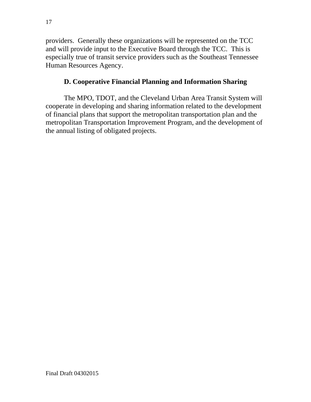providers. Generally these organizations will be represented on the TCC and will provide input to the Executive Board through the TCC. This is especially true of transit service providers such as the Southeast Tennessee Human Resources Agency.

#### **D. Cooperative Financial Planning and Information Sharing**

The MPO, TDOT, and the Cleveland Urban Area Transit System will cooperate in developing and sharing information related to the development of financial plans that support the metropolitan transportation plan and the metropolitan Transportation Improvement Program, and the development of the annual listing of obligated projects.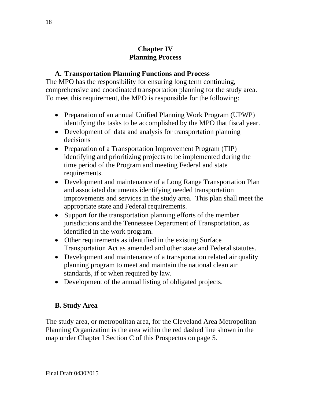#### **Chapter IV Planning Process**

#### **A. Transportation Planning Functions and Process**

The MPO has the responsibility for ensuring long term continuing, comprehensive and coordinated transportation planning for the study area. To meet this requirement, the MPO is responsible for the following:

- Preparation of an annual Unified Planning Work Program (UPWP) identifying the tasks to be accomplished by the MPO that fiscal year.
- Development of data and analysis for transportation planning decisions
- Preparation of a Transportation Improvement Program (TIP) identifying and prioritizing projects to be implemented during the time period of the Program and meeting Federal and state requirements.
- Development and maintenance of a Long Range Transportation Plan and associated documents identifying needed transportation improvements and services in the study area. This plan shall meet the appropriate state and Federal requirements.
- Support for the transportation planning efforts of the member jurisdictions and the Tennessee Department of Transportation, as identified in the work program.
- Other requirements as identified in the existing Surface Transportation Act as amended and other state and Federal statutes.
- Development and maintenance of a transportation related air quality planning program to meet and maintain the national clean air standards, if or when required by law.
- Development of the annual listing of obligated projects.

#### **B. Study Area**

The study area, or metropolitan area, for the Cleveland Area Metropolitan Planning Organization is the area within the red dashed line shown in the map under Chapter I Section C of this Prospectus on page 5.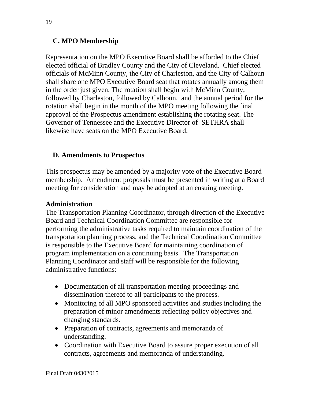#### **C. MPO Membership**

Representation on the MPO Executive Board shall be afforded to the Chief elected official of Bradley County and the City of Cleveland. Chief elected officials of McMinn County, the City of Charleston, and the City of Calhoun shall share one MPO Executive Board seat that rotates annually among them in the order just given. The rotation shall begin with McMinn County, followed by Charleston, followed by Calhoun, and the annual period for the rotation shall begin in the month of the MPO meeting following the final approval of the Prospectus amendment establishing the rotating seat. The Governor of Tennessee and the Executive Director of SETHRA shall likewise have seats on the MPO Executive Board.

#### **D. Amendments to Prospectus**

This prospectus may be amended by a majority vote of the Executive Board membership. Amendment proposals must be presented in writing at a Board meeting for consideration and may be adopted at an ensuing meeting.

#### **Administration**

The Transportation Planning Coordinator, through direction of the Executive Board and Technical Coordination Committee are responsible for performing the administrative tasks required to maintain coordination of the transportation planning process, and the Technical Coordination Committee is responsible to the Executive Board for maintaining coordination of program implementation on a continuing basis. The Transportation Planning Coordinator and staff will be responsible for the following administrative functions:

- Documentation of all transportation meeting proceedings and dissemination thereof to all participants to the process.
- Monitoring of all MPO sponsored activities and studies including the preparation of minor amendments reflecting policy objectives and changing standards.
- Preparation of contracts, agreements and memoranda of understanding.
- Coordination with Executive Board to assure proper execution of all contracts, agreements and memoranda of understanding.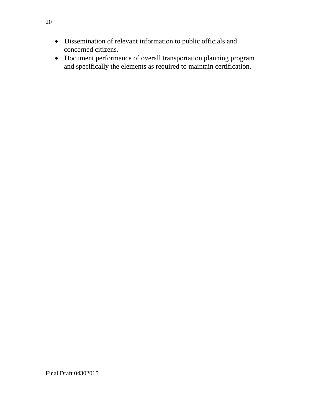- Dissemination of relevant information to public officials and concerned citizens.
- Document performance of overall transportation planning program and specifically the elements as required to maintain certification.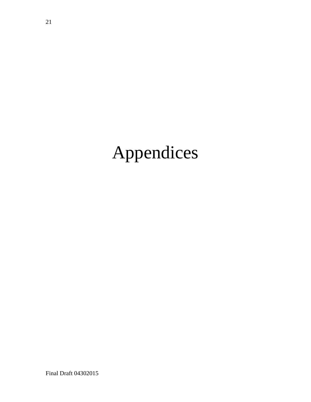### Appendices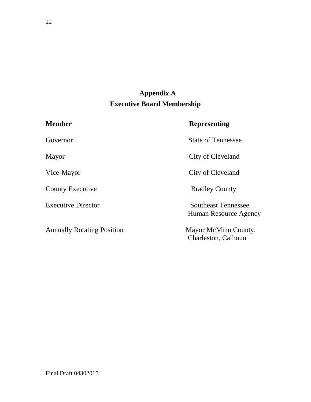### **Appendix A Executive Board Membership**

| <b>Member</b>                     | <b>Representing</b>                                 |
|-----------------------------------|-----------------------------------------------------|
| Governor                          | <b>State of Tennessee</b>                           |
| Mayor                             | City of Cleveland                                   |
| Vice-Mayor                        | City of Cleveland                                   |
| <b>County Executive</b>           | <b>Bradley County</b>                               |
| <b>Executive Director</b>         | <b>Southeast Tennessee</b><br>Human Resource Agency |
| <b>Annually Rotating Position</b> | Mayor McMinn County,<br>Charleston, Calhoun         |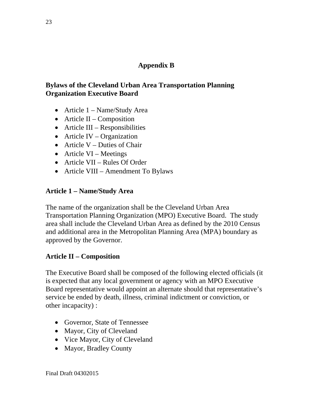#### **Appendix B**

#### **Bylaws of the Cleveland Urban Area Transportation Planning Organization Executive Board**

- Article 1 Name/Study Area
- $\bullet$  Article II Composition
- Article III Responsibilities
- Article IV Organization
- Article  $V$  Duties of Chair
- Article VI Meetings
- Article VII Rules Of Order
- Article VIII Amendment To Bylaws

#### **Article 1 – Name/Study Area**

The name of the organization shall be the Cleveland Urban Area Transportation Planning Organization (MPO) Executive Board. The study area shall include the Cleveland Urban Area as defined by the 2010 Census and additional area in the Metropolitan Planning Area (MPA) boundary as approved by the Governor.

#### **Article II – Composition**

The Executive Board shall be composed of the following elected officials (it is expected that any local government or agency with an MPO Executive Board representative would appoint an alternate should that representative's service be ended by death, illness, criminal indictment or conviction, or other incapacity) :

- Governor, State of Tennessee
- Mayor, City of Cleveland
- Vice Mayor, City of Cleveland
- Mayor, Bradley County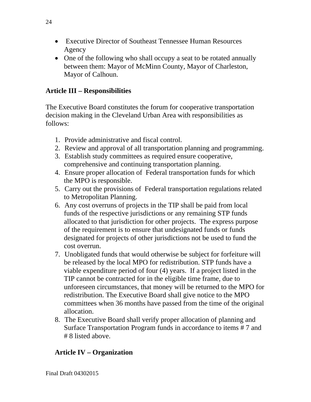- Executive Director of Southeast Tennessee Human Resources Agency
- One of the following who shall occupy a seat to be rotated annually between them: Mayor of McMinn County, Mayor of Charleston, Mayor of Calhoun.

#### **Article III – Responsibilities**

The Executive Board constitutes the forum for cooperative transportation decision making in the Cleveland Urban Area with responsibilities as follows:

- 1. Provide administrative and fiscal control.
- 2. Review and approval of all transportation planning and programming.
- 3. Establish study committees as required ensure cooperative, comprehensive and continuing transportation planning.
- 4. Ensure proper allocation of Federal transportation funds for which the MPO is responsible.
- 5. Carry out the provisions of Federal transportation regulations related to Metropolitan Planning.
- 6. Any cost overruns of projects in the TIP shall be paid from local funds of the respective jurisdictions or any remaining STP funds allocated to that jurisdiction for other projects. The express purpose of the requirement is to ensure that undesignated funds or funds designated for projects of other jurisdictions not be used to fund the cost overrun.
- 7. Unobligated funds that would otherwise be subject for forfeiture will be released by the local MPO for redistribution. STP funds have a viable expenditure period of four (4) years. If a project listed in the TIP cannot be contracted for in the eligible time frame, due to unforeseen circumstances, that money will be returned to the MPO for redistribution. The Executive Board shall give notice to the MPO committees when 36 months have passed from the time of the original allocation.
- 8. The Executive Board shall verify proper allocation of planning and Surface Transportation Program funds in accordance to items # 7 and # 8 listed above.

#### **Article IV – Organization**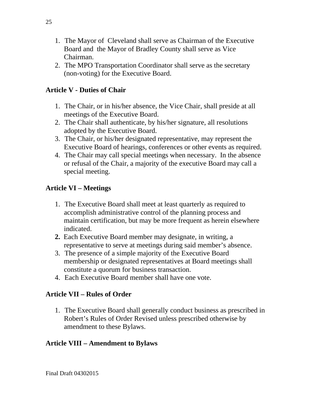- 1. The Mayor of Cleveland shall serve as Chairman of the Executive Board and the Mayor of Bradley County shall serve as Vice Chairman.
- 2. The MPO Transportation Coordinator shall serve as the secretary (non-voting) for the Executive Board.

#### **Article V - Duties of Chair**

- 1. The Chair, or in his/her absence, the Vice Chair, shall preside at all meetings of the Executive Board.
- 2. The Chair shall authenticate, by his/her signature, all resolutions adopted by the Executive Board.
- 3. The Chair, or his/her designated representative, may represent the Executive Board of hearings, conferences or other events as required.
- 4. The Chair may call special meetings when necessary. In the absence or refusal of the Chair, a majority of the executive Board may call a special meeting.

#### **Article VI – Meetings**

- 1. The Executive Board shall meet at least quarterly as required to accomplish administrative control of the planning process and maintain certification, but may be more frequent as herein elsewhere indicated.
- **2.** Each Executive Board member may designate, in writing, a representative to serve at meetings during said member's absence.
- 3. The presence of a simple majority of the Executive Board membership or designated representatives at Board meetings shall constitute a quorum for business transaction.
- 4. Each Executive Board member shall have one vote.

#### **Article VII – Rules of Order**

1. The Executive Board shall generally conduct business as prescribed in Robert's Rules of Order Revised unless prescribed otherwise by amendment to these Bylaws.

#### **Article VIII – Amendment to Bylaws**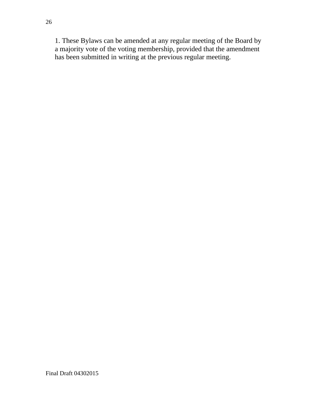1. These Bylaws can be amended at any regular meeting of the Board by a majority vote of the voting membership, provided that the amendment has been submitted in writing at the previous regular meeting.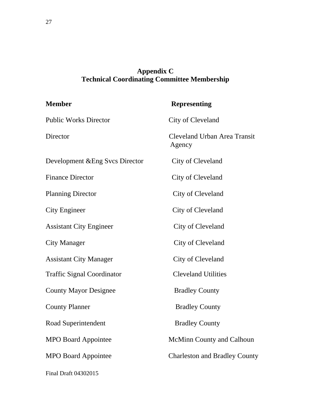#### **Appendix C Technical Coordinating Committee Membership**

| <b>Member</b>                     | <b>Representing</b>                    |
|-----------------------------------|----------------------------------------|
| <b>Public Works Director</b>      | City of Cleveland                      |
| Director                          | Cleveland Urban Area Transit<br>Agency |
| Development & Eng Svcs Director   | City of Cleveland                      |
| <b>Finance Director</b>           | City of Cleveland                      |
| <b>Planning Director</b>          | City of Cleveland                      |
| <b>City Engineer</b>              | City of Cleveland                      |
| <b>Assistant City Engineer</b>    | City of Cleveland                      |
| City Manager                      | City of Cleveland                      |
| <b>Assistant City Manager</b>     | City of Cleveland                      |
| <b>Traffic Signal Coordinator</b> | <b>Cleveland Utilities</b>             |
| <b>County Mayor Designee</b>      | <b>Bradley County</b>                  |
| <b>County Planner</b>             | <b>Bradley County</b>                  |
| Road Superintendent               | <b>Bradley County</b>                  |
| <b>MPO Board Appointee</b>        | <b>McMinn County and Calhoun</b>       |
| <b>MPO Board Appointee</b>        | <b>Charleston and Bradley County</b>   |
| Final Draft 04302015              |                                        |